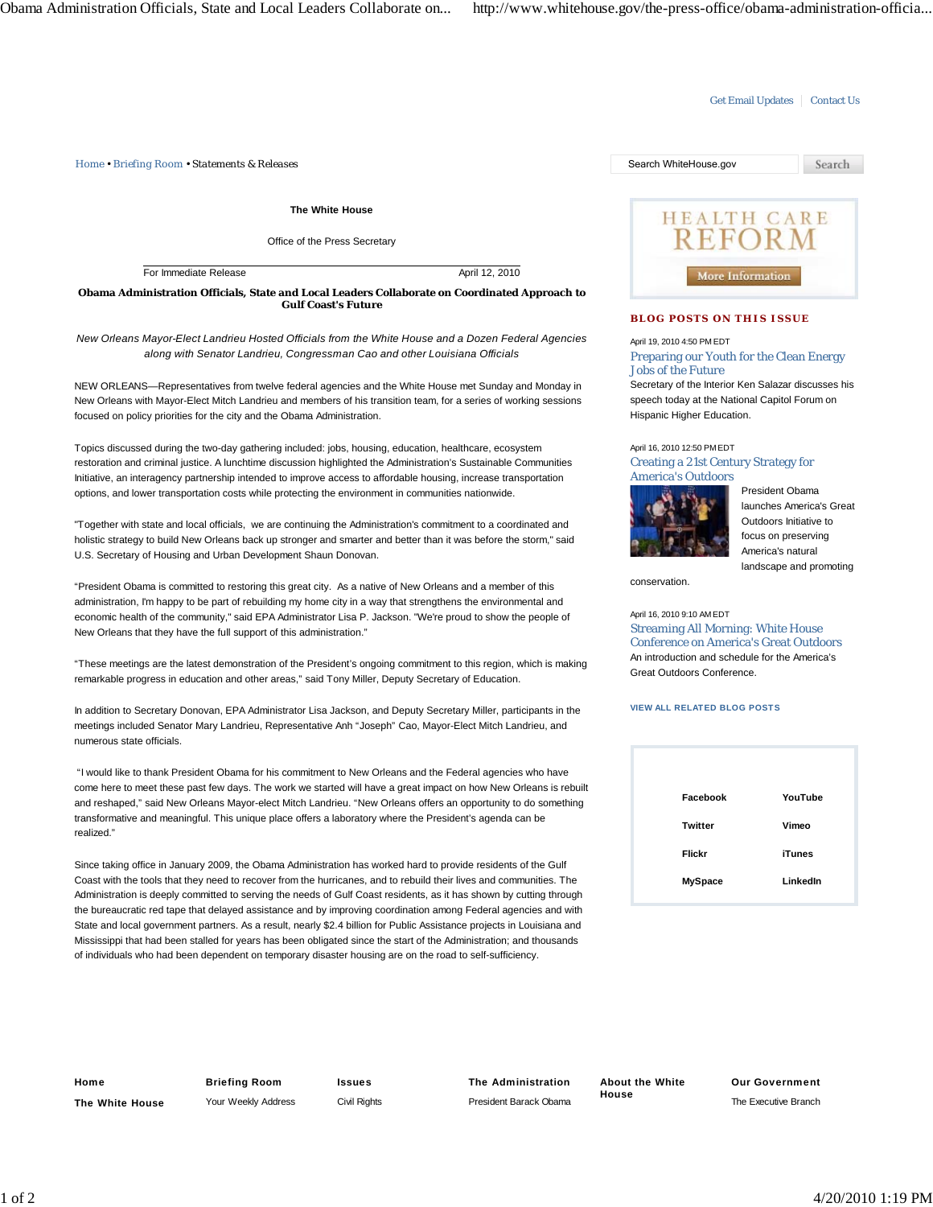*Home • Briefing Room • Statements & Releases* Search WhiteHouse.gov

**The White House**

Office of the Press Secretary

For Immediate Release April 12, 2010

**Obama Administration Officials, State and Local Leaders Collaborate on Coordinated Approach to Gulf Coast's Future**

*New Orleans Mayor-Elect Landrieu Hosted Officials from the White House and a Dozen Federal Agencies along with Senator Landrieu, Congressman Cao and other Louisiana Officials*

NEW ORLEANS—Representatives from twelve federal agencies and the White House met Sunday and Monday in New Orleans with Mayor-Elect Mitch Landrieu and members of his transition team, for a series of working sessions focused on policy priorities for the city and the Obama Administration.

Topics discussed during the two-day gathering included: jobs, housing, education, healthcare, ecosystem restoration and criminal justice. A lunchtime discussion highlighted the Administration's Sustainable Communities Initiative, an interagency partnership intended to improve access to affordable housing, increase transportation options, and lower transportation costs while protecting the environment in communities nationwide.

"Together with state and local officials, we are continuing the Administration's commitment to a coordinated and holistic strategy to build New Orleans back up stronger and smarter and better than it was before the storm," said U.S. Secretary of Housing and Urban Development Shaun Donovan.

"President Obama is committed to restoring this great city. As a native of New Orleans and a member of this administration, I'm happy to be part of rebuilding my home city in a way that strengthens the environmental and economic health of the community," said EPA Administrator Lisa P. Jackson. "We're proud to show the people of New Orleans that they have the full support of this administration."

"These meetings are the latest demonstration of the President's ongoing commitment to this region, which is making remarkable progress in education and other areas," said Tony Miller, Deputy Secretary of Education.

In addition to Secretary Donovan, EPA Administrator Lisa Jackson, and Deputy Secretary Miller, participants in the meetings included Senator Mary Landrieu, Representative Anh "Joseph" Cao, Mayor-Elect Mitch Landrieu, and numerous state officials.

 "I would like to thank President Obama for his commitment to New Orleans and the Federal agencies who have come here to meet these past few days. The work we started will have a great impact on how New Orleans is rebuilt and reshaped," said New Orleans Mayor-elect Mitch Landrieu. "New Orleans offers an opportunity to do something transformative and meaningful. This unique place offers a laboratory where the President's agenda can be realized."

Since taking office in January 2009, the Obama Administration has worked hard to provide residents of the Gulf Coast with the tools that they need to recover from the hurricanes, and to rebuild their lives and communities. The Administration is deeply committed to serving the needs of Gulf Coast residents, as it has shown by cutting through the bureaucratic red tape that delayed assistance and by improving coordination among Federal agencies and with State and local government partners. As a result, nearly \$2.4 billion for Public Assistance projects in Louisiana and Mississippi that had been stalled for years has been obligated since the start of the Administration; and thousands of individuals who had been dependent on temporary disaster housing are on the road to self-sufficiency.



Get Email Updates | Contact Us

## **BLOG POSTS ON THIS ISSUE**

April 19, 2010 4:50 PM EDT

Preparing our Youth for the Clean Energy Jobs of the Future

Secretary of the Interior Ken Salazar discusses his speech today at the National Capitol Forum on Hispanic Higher Education.

April 16, 2010 12:50 PM EDT Creating a 21st Century Strategy for America's Outdoors



President Obama launches America's Great Outdoors Initiative to focus on preserving America's natural landscape and promoting

conservation.

## April 16, 2010 9:10 AM EDT

Streaming All Morning: White House Conference on America's Great Outdoors An introduction and schedule for the America's Great Outdoors Conference.

## **VIEW ALL RELATED BLOG POSTS**

| Facebook       | YouTube       |
|----------------|---------------|
| Twitter        | Vimeo         |
| Flickr         | <b>iTunes</b> |
| <b>MySpace</b> | LinkedIn      |

**Home The White House** **Briefing Room** Your Weekly Address **Issues** Civil Rights **The Administration** President Barack Obama **About the White House**

**Our Government** The Executive Branch